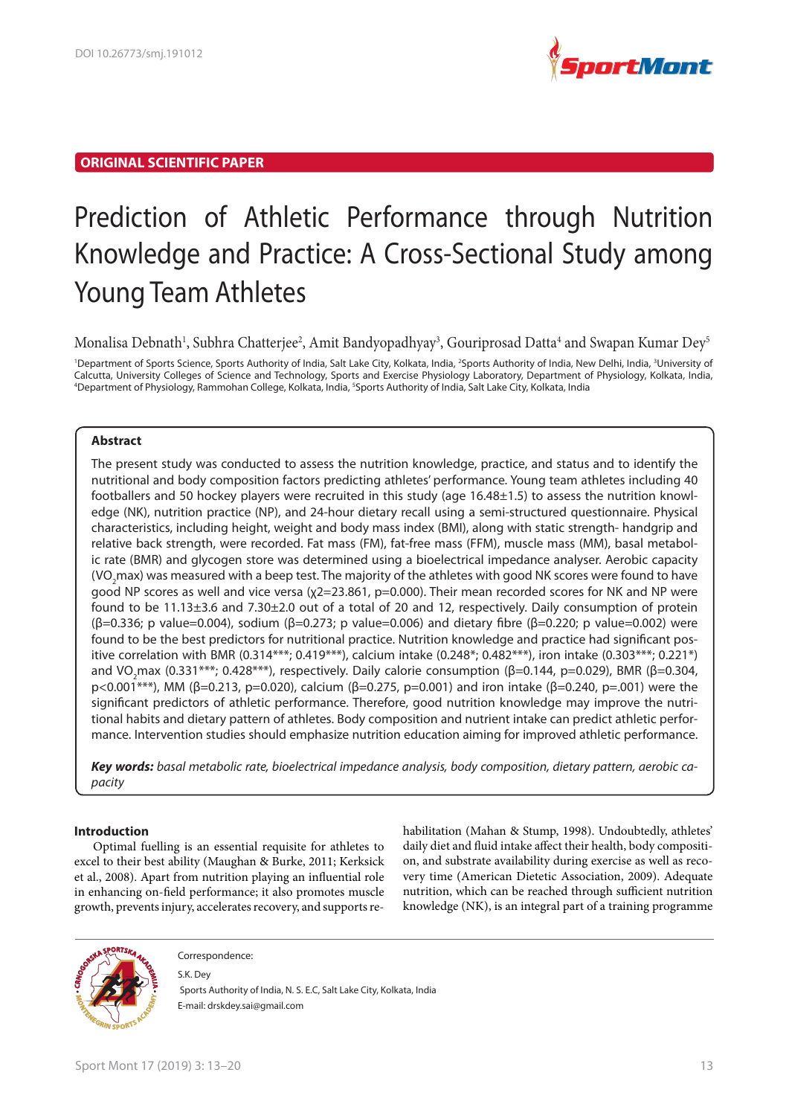

# **ORIGINAL SCIENTIFIC PAPER**

# Prediction of Athletic Performance through Nutrition Knowledge and Practice: A Cross-Sectional Study among Young Team Athletes

Monalisa Debnath<sup>1</sup>, Subhra Chatterjee<sup>2</sup>, Amit Bandyopadhyay<sup>3</sup>, Gouriprosad Datta<sup>4</sup> and Swapan Kumar Dey<sup>5</sup>

<sup>1</sup>Department of Sports Science, Sports Authority of India, Salt Lake City, Kolkata, India, <sup>2</sup>Sports Authority of India, New Delhi, India, <sup>3</sup>University of Calcutta, University Colleges of Science and Technology, Sports and Exercise Physiology Laboratory, Department of Physiology, Kolkata, India, <sup>4</sup>Department of Physiology, Rammohan College, Kolkata, India, <sup>5</sup>Sports Authority of India, Salt Lake City, Kolkata, India

# **Abstract**

The present study was conducted to assess the nutrition knowledge, practice, and status and to identify the nutritional and body composition factors predicting athletes' performance. Young team athletes including 40 footballers and 50 hockey players were recruited in this study (age 16.48±1.5) to assess the nutrition knowledge (NK), nutrition practice (NP), and 24-hour dietary recall using a semi-structured questionnaire. Physical characteristics, including height, weight and body mass index (BMI), along with static strength- handgrip and relative back strength, were recorded. Fat mass (FM), fat-free mass (FFM), muscle mass (MM), basal metabolic rate (BMR) and glycogen store was determined using a bioelectrical impedance analyser. Aerobic capacity (VO2max) was measured with a beep test. The majority of the athletes with good NK scores were found to have good NP scores as well and vice versa (χ2=23.861, p=0.000). Their mean recorded scores for NK and NP were found to be 11.13±3.6 and 7.30±2.0 out of a total of 20 and 12, respectively. Daily consumption of protein (β=0.336; p value=0.004), sodium (β=0.273; p value=0.006) and dietary fibre (β=0.220; p value=0.002) were found to be the best predictors for nutritional practice. Nutrition knowledge and practice had significant positive correlation with BMR (0.314\*\*\*; 0.419\*\*\*), calcium intake (0.248\*; 0.482\*\*\*), iron intake (0.303\*\*\*; 0.221\*) and VO<sub>2</sub>max (0.331<sup>\*\*\*</sup>; 0.428<sup>\*\*\*</sup>), respectively. Daily calorie consumption (β=0.144, p=0.029), BMR (β=0.304, p<0.001\*\*\*), MM (β=0.213, p=0.020), calcium (β=0.275, p=0.001) and iron intake (β=0.240, p=.001) were the significant predictors of athletic performance. Therefore, good nutrition knowledge may improve the nutritional habits and dietary pattern of athletes. Body composition and nutrient intake can predict athletic performance. Intervention studies should emphasize nutrition education aiming for improved athletic performance.

**Key words:** *basal metabolic rate, bioelectrical impedance analysis, body composition, dietary pattern, aerobic capacity*

## **Introduction**

Optimal fuelling is an essential requisite for athletes to excel to their best ability (Maughan & Burke, 2011; Kerksick et al., 2008). Apart from nutrition playing an influential role in enhancing on-field performance; it also promotes muscle growth, prevents injury, accelerates recovery, and supports rehabilitation (Mahan & Stump, 1998). Undoubtedly, athletes' daily diet and fluid intake affect their health, body composition, and substrate availability during exercise as well as recovery time (American Dietetic Association, 2009). Adequate nutrition, which can be reached through sufficient nutrition knowledge (NK), is an integral part of a training programme



Correspondence:

S.K. Dey

 Sports Authority of India, N. S. E.C, Salt Lake City, Kolkata, India E-mail: drskdey.sai@gmail.com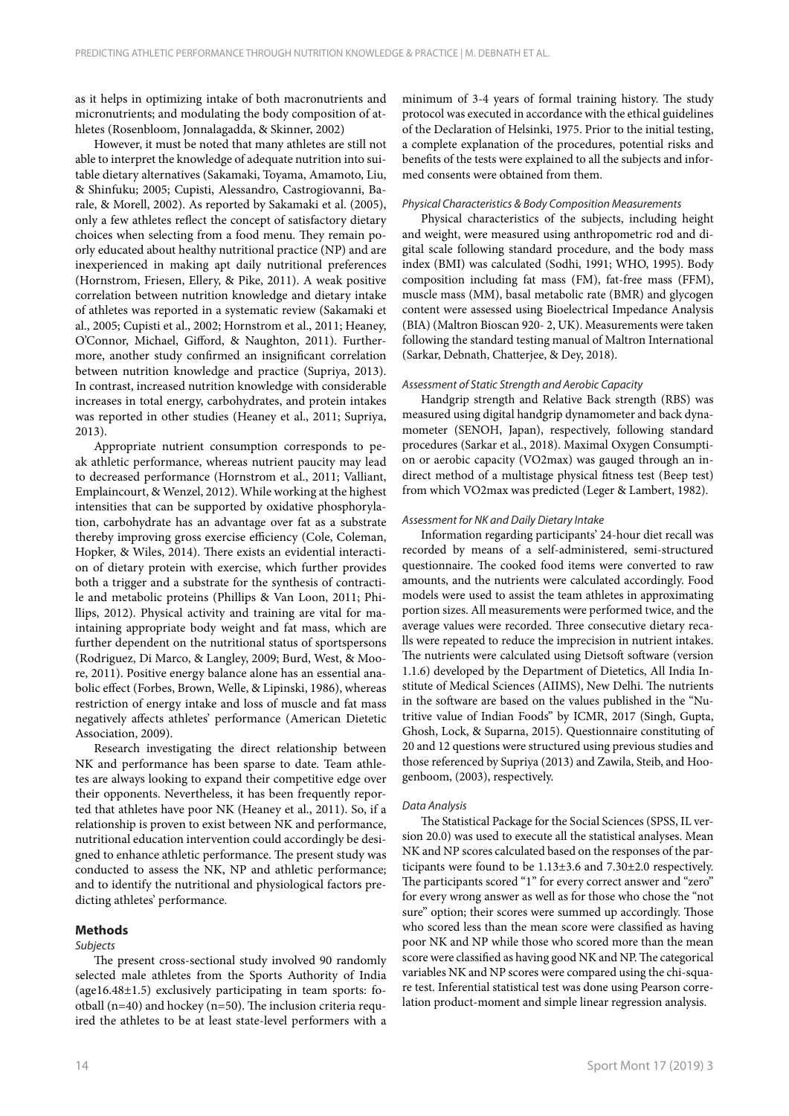as it helps in optimizing intake of both macronutrients and micronutrients; and modulating the body composition of athletes (Rosenbloom, Jonnalagadda, & Skinner, 2002)

However, it must be noted that many athletes are still not able to interpret the knowledge of adequate nutrition into suitable dietary alternatives (Sakamaki, Toyama, Amamoto, Liu, & Shinfuku; 2005; Cupisti, Alessandro, Castrogiovanni, Barale, & Morell, 2002). As reported by Sakamaki et al. (2005), only a few athletes reflect the concept of satisfactory dietary choices when selecting from a food menu. They remain poorly educated about healthy nutritional practice (NP) and are inexperienced in making apt daily nutritional preferences (Hornstrom, Friesen, Ellery, & Pike, 2011). A weak positive correlation between nutrition knowledge and dietary intake of athletes was reported in a systematic review (Sakamaki et al., 2005; Cupisti et al., 2002; Hornstrom et al., 2011; Heaney, O'Connor, Michael, Gifford, & Naughton, 2011). Furthermore, another study confirmed an insignificant correlation between nutrition knowledge and practice (Supriya, 2013). In contrast, increased nutrition knowledge with considerable increases in total energy, carbohydrates, and protein intakes was reported in other studies (Heaney et al., 2011; Supriya, 2013).

Appropriate nutrient consumption corresponds to peak athletic performance, whereas nutrient paucity may lead to decreased performance (Hornstrom et al., 2011; Valliant, Emplaincourt, & Wenzel, 2012). While working at the highest intensities that can be supported by oxidative phosphorylation, carbohydrate has an advantage over fat as a substrate thereby improving gross exercise efficiency (Cole, Coleman, Hopker, & Wiles, 2014). There exists an evidential interaction of dietary protein with exercise, which further provides both a trigger and a substrate for the synthesis of contractile and metabolic proteins (Phillips & Van Loon, 2011; Phillips, 2012). Physical activity and training are vital for maintaining appropriate body weight and fat mass, which are further dependent on the nutritional status of sportspersons (Rodriguez, Di Marco, & Langley, 2009; Burd, West, & Moore, 2011). Positive energy balance alone has an essential anabolic effect (Forbes, Brown, Welle, & Lipinski, 1986), whereas restriction of energy intake and loss of muscle and fat mass negatively affects athletes' performance (American Dietetic Association, 2009).

Research investigating the direct relationship between NK and performance has been sparse to date. Team athletes are always looking to expand their competitive edge over their opponents. Nevertheless, it has been frequently reported that athletes have poor NK (Heaney et al., 2011). So, if a relationship is proven to exist between NK and performance, nutritional education intervention could accordingly be designed to enhance athletic performance. The present study was conducted to assess the NK, NP and athletic performance; and to identify the nutritional and physiological factors predicting athletes' performance.

## **Methods**

## *Subjects*

The present cross-sectional study involved 90 randomly selected male athletes from the Sports Authority of India (age16.48±1.5) exclusively participating in team sports: football (n=40) and hockey (n=50). The inclusion criteria required the athletes to be at least state-level performers with a

minimum of 3-4 years of formal training history. The study protocol was executed in accordance with the ethical guidelines of the Declaration of Helsinki, 1975. Prior to the initial testing, a complete explanation of the procedures, potential risks and benefits of the tests were explained to all the subjects and informed consents were obtained from them.

### *Physical Characteristics & Body Composition Measurements*

Physical characteristics of the subjects, including height and weight, were measured using anthropometric rod and digital scale following standard procedure, and the body mass index (BMI) was calculated (Sodhi, 1991; WHO, 1995). Body composition including fat mass (FM), fat-free mass (FFM), muscle mass (MM), basal metabolic rate (BMR) and glycogen content were assessed using Bioelectrical Impedance Analysis (BIA) (Maltron Bioscan 920- 2, UK). Measurements were taken following the standard testing manual of Maltron International (Sarkar, Debnath, Chatterjee, & Dey, 2018).

#### *Assessment of Static Strength and Aerobic Capacity*

Handgrip strength and Relative Back strength (RBS) was measured using digital handgrip dynamometer and back dynamometer (SENOH, Japan), respectively, following standard procedures (Sarkar et al., 2018). Maximal Oxygen Consumption or aerobic capacity (VO2max) was gauged through an indirect method of a multistage physical fitness test (Beep test) from which VO2max was predicted (Leger & Lambert, 1982).

#### *Assessment for NK and Daily Dietary Intake*

Information regarding participants' 24-hour diet recall was recorded by means of a self-administered, semi-structured questionnaire. The cooked food items were converted to raw amounts, and the nutrients were calculated accordingly. Food models were used to assist the team athletes in approximating portion sizes. All measurements were performed twice, and the average values were recorded. Three consecutive dietary recalls were repeated to reduce the imprecision in nutrient intakes. The nutrients were calculated using Dietsoft software (version 1.1.6) developed by the Department of Dietetics, All India Institute of Medical Sciences (AIIMS), New Delhi. The nutrients in the software are based on the values published in the "Nutritive value of Indian Foods" by ICMR, 2017 (Singh, Gupta, Ghosh, Lock, & Suparna, 2015). Questionnaire constituting of 20 and 12 questions were structured using previous studies and those referenced by Supriya (2013) and Zawila, Steib, and Hoogenboom, (2003), respectively.

#### *Data Analysis*

The Statistical Package for the Social Sciences (SPSS, IL version 20.0) was used to execute all the statistical analyses. Mean NK and NP scores calculated based on the responses of the participants were found to be 1.13±3.6 and 7.30±2.0 respectively. The participants scored "1" for every correct answer and "zero" for every wrong answer as well as for those who chose the "not sure" option; their scores were summed up accordingly. Those who scored less than the mean score were classified as having poor NK and NP while those who scored more than the mean score were classified as having good NK and NP. The categorical variables NK and NP scores were compared using the chi-square test. Inferential statistical test was done using Pearson correlation product-moment and simple linear regression analysis.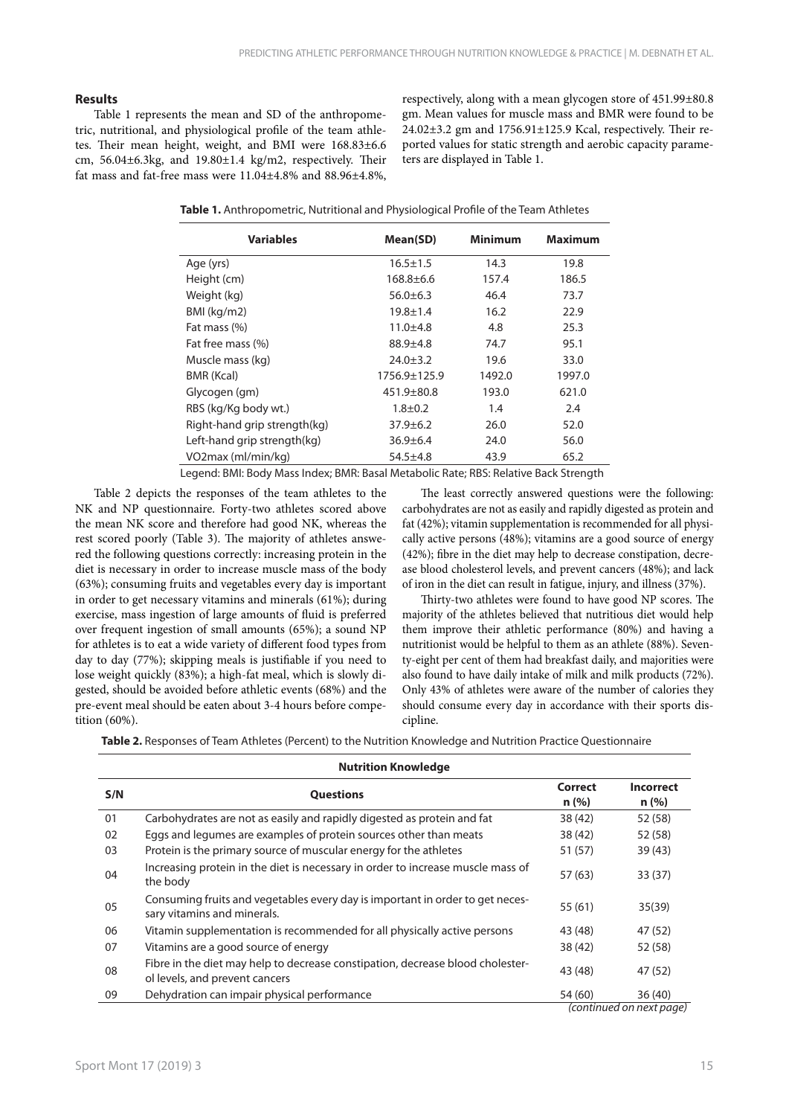## **Results**

Table 1 represents the mean and SD of the anthropometric, nutritional, and physiological profile of the team athletes. Their mean height, weight, and BMI were 168.83±6.6 cm, 56.04±6.3kg, and 19.80±1.4 kg/m2, respectively. Their fat mass and fat-free mass were 11.04±4.8% and 88.96±4.8%, respectively, along with a mean glycogen store of 451.99±80.8 gm. Mean values for muscle mass and BMR were found to be 24.02±3.2 gm and 1756.91±125.9 Kcal, respectively. Their reported values for static strength and aerobic capacity parameters are displayed in Table 1.

| <b>Variables</b>             | Mean(SD)         | <b>Minimum</b> | <b>Maximum</b> |
|------------------------------|------------------|----------------|----------------|
| Age (yrs)                    | $16.5 \pm 1.5$   | 14.3           | 19.8           |
| Height (cm)                  | $168.8 \pm 6.6$  | 157.4          | 186.5          |
| Weight (kg)                  | $56.0 \pm 6.3$   | 46.4           | 73.7           |
| $BMl$ (kg/m2)                | $19.8 \pm 1.4$   | 16.2           | 22.9           |
| Fat mass (%)                 | $11.0 + 4.8$     | 4.8            | 25.3           |
| Fat free mass (%)            | $88.9 + 4.8$     | 74.7           | 95.1           |
| Muscle mass (kg)             | $24.0 \pm 3.2$   | 19.6           | 33.0           |
| BMR (Kcal)                   | 1756.9±125.9     | 1492.0         | 1997.0         |
| Glycogen (gm)                | $451.9 \pm 80.8$ | 193.0          | 621.0          |
| RBS (kg/Kg body wt.)         | $1.8 + 0.2$      | 1.4            | 2.4            |
| Right-hand grip strength(kg) | $37.9 \pm 6.2$   | 26.0           | 52.0           |
| Left-hand grip strength(kg)  | $36.9 \pm 6.4$   | 24.0           | 56.0           |
| VO2max (ml/min/kq)           | $54.5 \pm 4.8$   | 43.9           | 65.2           |

Legend: BMI: Body Mass Index; BMR: Basal Metabolic Rate; RBS: Relative Back Strength

Table 2 depicts the responses of the team athletes to the NK and NP questionnaire. Forty-two athletes scored above the mean NK score and therefore had good NK, whereas the rest scored poorly (Table 3). The majority of athletes answered the following questions correctly: increasing protein in the diet is necessary in order to increase muscle mass of the body (63%); consuming fruits and vegetables every day is important in order to get necessary vitamins and minerals (61%); during exercise, mass ingestion of large amounts of fluid is preferred over frequent ingestion of small amounts (65%); a sound NP for athletes is to eat a wide variety of different food types from day to day (77%); skipping meals is justifiable if you need to lose weight quickly (83%); a high-fat meal, which is slowly digested, should be avoided before athletic events (68%) and the pre-event meal should be eaten about 3-4 hours before competition (60%).

The least correctly answered questions were the following: carbohydrates are not as easily and rapidly digested as protein and fat (42%); vitamin supplementation is recommended for all physically active persons (48%); vitamins are a good source of energy (42%); fibre in the diet may help to decrease constipation, decrease blood cholesterol levels, and prevent cancers (48%); and lack of iron in the diet can result in fatigue, injury, and illness (37%).

Thirty-two athletes were found to have good NP scores. The majority of the athletes believed that nutritious diet would help them improve their athletic performance (80%) and having a nutritionist would be helpful to them as an athlete (88%). Seventy-eight per cent of them had breakfast daily, and majorities were also found to have daily intake of milk and milk products (72%). Only 43% of athletes were aware of the number of calories they should consume every day in accordance with their sports discipline.

**Table 2.** Responses of Team Athletes (Percent) to the Nutrition Knowledge and Nutrition Practice Questionnaire

|     | <b>Nutrition Knowledge</b>                                                                                       |                 |                          |  |  |  |  |
|-----|------------------------------------------------------------------------------------------------------------------|-----------------|--------------------------|--|--|--|--|
| S/N | <b>Questions</b>                                                                                                 | Correct<br>n(%) | <b>Incorrect</b><br>n(%) |  |  |  |  |
| 01  | Carbohydrates are not as easily and rapidly digested as protein and fat                                          | 38 (42)         | 52 (58)                  |  |  |  |  |
| 02  | Eggs and legumes are examples of protein sources other than meats                                                | 38 (42)         | 52 (58)                  |  |  |  |  |
| 03  | Protein is the primary source of muscular energy for the athletes                                                | 51 (57)         | 39(43)                   |  |  |  |  |
| 04  | Increasing protein in the diet is necessary in order to increase muscle mass of<br>the body                      | 57 (63)         | 33(37)                   |  |  |  |  |
| 05  | Consuming fruits and vegetables every day is important in order to get neces-<br>sary vitamins and minerals.     | 55(61)          | 35(39)                   |  |  |  |  |
| 06  | Vitamin supplementation is recommended for all physically active persons                                         | 43 (48)         | 47 (52)                  |  |  |  |  |
| 07  | Vitamins are a good source of energy                                                                             | 38 (42)         | 52 (58)                  |  |  |  |  |
| 08  | Fibre in the diet may help to decrease constipation, decrease blood cholester-<br>ol levels, and prevent cancers | 43 (48)         | 47 (52)                  |  |  |  |  |
| 09  | Dehydration can impair physical performance                                                                      | 54 (60)         | 36(40)                   |  |  |  |  |
|     |                                                                                                                  |                 | (continued on next page) |  |  |  |  |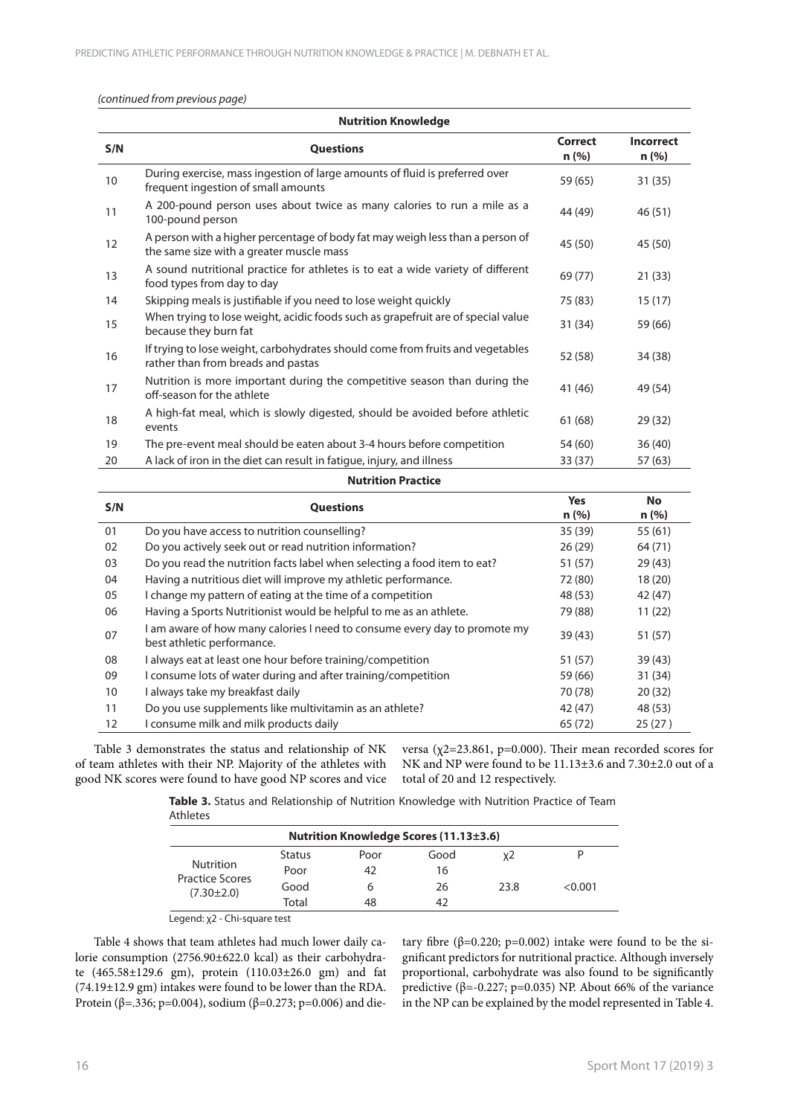## *(continued from previous page)*

| <b>Nutrition Knowledge</b>                                                                                                |                                                                |                            |  |  |  |  |  |
|---------------------------------------------------------------------------------------------------------------------------|----------------------------------------------------------------|----------------------------|--|--|--|--|--|
| <b>Questions</b>                                                                                                          | Correct<br>n(%)                                                | <b>Incorrect</b><br>n (% ) |  |  |  |  |  |
| During exercise, mass ingestion of large amounts of fluid is preferred over<br>frequent ingestion of small amounts        | 59 (65)                                                        | 31(35)                     |  |  |  |  |  |
| A 200-pound person uses about twice as many calories to run a mile as a<br>100-pound person                               | 44 (49)                                                        | 46(51)                     |  |  |  |  |  |
| A person with a higher percentage of body fat may weigh less than a person of<br>the same size with a greater muscle mass | 45 (50)                                                        | 45 (50)                    |  |  |  |  |  |
| A sound nutritional practice for athletes is to eat a wide variety of different<br>food types from day to day             | 69 (77)                                                        | 21(33)                     |  |  |  |  |  |
| Skipping meals is justifiable if you need to lose weight quickly                                                          | 75 (83)                                                        | 15(17)                     |  |  |  |  |  |
| When trying to lose weight, acidic foods such as grapefruit are of special value<br>because they burn fat                 | 31 (34)                                                        | 59 (66)                    |  |  |  |  |  |
| If trying to lose weight, carbohydrates should come from fruits and vegetables<br>rather than from breads and pastas      | 52 (58)                                                        | 34 (38)                    |  |  |  |  |  |
| Nutrition is more important during the competitive season than during the<br>off-season for the athlete                   | 41 (46)                                                        | 49 (54)                    |  |  |  |  |  |
| A high-fat meal, which is slowly digested, should be avoided before athletic<br>events                                    | 61 (68)                                                        | 29(32)                     |  |  |  |  |  |
| The pre-event meal should be eaten about 3-4 hours before competition                                                     | 54 (60)                                                        | 36(40)                     |  |  |  |  |  |
| A lack of iron in the diet can result in fatique, injury, and illness                                                     | 33(37)                                                         | 57 (63)                    |  |  |  |  |  |
| <b>Nutrition Practice</b>                                                                                                 |                                                                |                            |  |  |  |  |  |
| <b>Questions</b>                                                                                                          | <b>Yes</b><br>n(%)                                             | <b>No</b><br>n(%)          |  |  |  |  |  |
| Do you have access to nutrition counselling?                                                                              | 35 (39)                                                        | 55(61)                     |  |  |  |  |  |
| Do you actively seek out or read nutrition information?                                                                   | 26(29)                                                         | 64 (71)                    |  |  |  |  |  |
| Do you read the nutrition facts label when selecting a food item to eat?                                                  | 51 (57)                                                        | 29(43)                     |  |  |  |  |  |
|                                                                                                                           | 72 (80)                                                        | 18(20)                     |  |  |  |  |  |
|                                                                                                                           | Having a nutritious diet will improve my athletic performance. |                            |  |  |  |  |  |

| 05 | I change my pattern of eating at the time of a competition                                            | 48 (53) | 42 (47) |
|----|-------------------------------------------------------------------------------------------------------|---------|---------|
| 06 | Having a Sports Nutritionist would be helpful to me as an athlete.                                    | 79 (88) | 11(22)  |
| 07 | am aware of how many calories I need to consume every day to promote my<br>best athletic performance. | 39(43)  | 51 (57) |
| 08 | I always eat at least one hour before training/competition                                            | 51 (57) | 39(43)  |
| 09 | I consume lots of water during and after training/competition                                         | 59 (66) | 31 (34) |
| 10 | I always take my breakfast daily                                                                      | 70 (78) | 20(32)  |
| 11 | Do you use supplements like multivitamin as an athlete?                                               | 42 (47) | 48 (53) |
| 12 | I consume milk and milk products daily                                                                | 65(72)  | 25(27)  |
|    |                                                                                                       |         |         |

Table 3 demonstrates the status and relationship of NK of team athletes with their NP. Majority of the athletes with good NK scores were found to have good NP scores and vice

versa (χ2=23.861, p=0.000). Their mean recorded scores for NK and NP were found to be 11.13±3.6 and 7.30±2.0 out of a total of 20 and 12 respectively.

**Table 3.** Status and Relationship of Nutrition Knowledge with Nutrition Practice of Team Athletes

| <b>Nutrition Knowledge Scores (11.13±3.6)</b>                  |               |      |      |      |         |  |
|----------------------------------------------------------------|---------------|------|------|------|---------|--|
|                                                                | <b>Status</b> | Poor | Good | ν2   |         |  |
| <b>Nutrition</b><br><b>Practice Scores</b><br>$(7.30 \pm 2.0)$ | Poor          | 42   | 16   |      |         |  |
|                                                                | Good          | h    | 26   | 23.8 | < 0.001 |  |
|                                                                | Total         | 48   | 42   |      |         |  |

Legend: χ2 - Chi-square test

Table 4 shows that team athletes had much lower daily calorie consumption (2756.90±622.0 kcal) as their carbohydrate (465.58±129.6 gm), protein (110.03±26.0 gm) and fat (74.19±12.9 gm) intakes were found to be lower than the RDA. Protein (β=.336; p=0.004), sodium (β=0.273; p=0.006) and dietary fibre (β=0.220; p=0.002) intake were found to be the significant predictors for nutritional practice. Although inversely proportional, carbohydrate was also found to be significantly predictive (β=-0.227; p=0.035) NP. About 66% of the variance in the NP can be explained by the model represented in Table 4.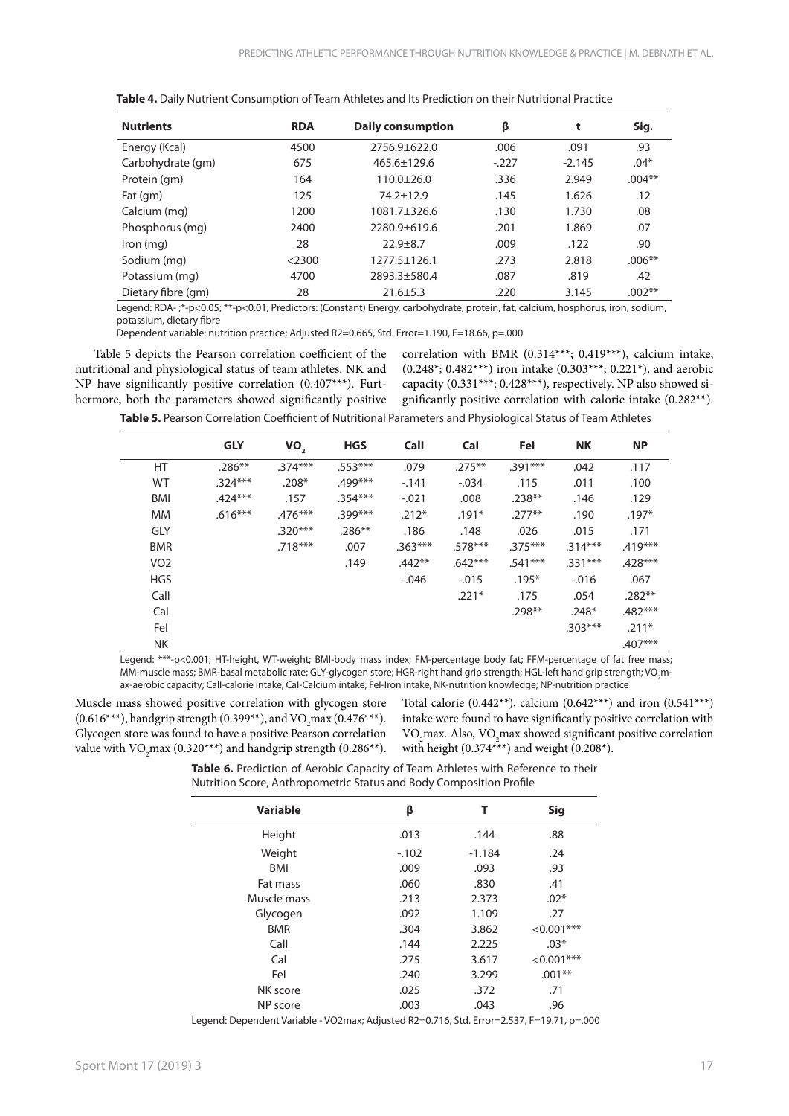| <b>Nutrients</b>   | <b>RDA</b> | <b>Daily consumption</b> | β      | t        | Sig.     |
|--------------------|------------|--------------------------|--------|----------|----------|
| Energy (Kcal)      | 4500       | $2756.9 \pm 622.0$       | .006   | .091     | .93      |
| Carbohydrate (gm)  | 675        | $465.6 \pm 129.6$        | $-227$ | $-2.145$ | $.04*$   |
| Protein (gm)       | 164        | $110.0+26.0$             | .336   | 2.949    | $.004**$ |
| Fat (gm)           | 125        | $74.2 \pm 12.9$          | .145   | 1.626    | .12      |
| Calcium (mg)       | 1200       | 1081.7±326.6             | .130   | 1.730    | .08      |
| Phosphorus (mg)    | 2400       | 2280.9±619.6             | .201   | 1.869    | .07      |
| $lron$ (mg)        | 28         | $22.9 + 8.7$             | .009   | .122     | .90      |
| Sodium (mg)        | $<$ 2300   | $1277.5 \pm 126.1$       | .273   | 2.818    | $.006**$ |
| Potassium (mg)     | 4700       | 2893.3±580.4             | .087   | .819     | .42      |
| Dietary fibre (gm) | 28         | $21.6 \pm 5.3$           | .220   | 3.145    | $.002**$ |

**Table 4.** Daily Nutrient Consumption of Team Athletes and Its Prediction on their Nutritional Practice

Legend: RDA- ;\*-p<0.05; \*\*-p<0.01; Predictors: (Constant) Energy, carbohydrate, protein, fat, calcium, hosphorus, iron, sodium, potassium, dietary fibre

Dependent variable: nutrition practice; Adjusted R2=0.665, Std. Error=1.190, F=18.66, p=.000

Table 5 depicts the Pearson correlation coefficient of the nutritional and physiological status of team athletes. NK and NP have significantly positive correlation (0.407\*\*\*). Furthermore, both the parameters showed significantly positive correlation with BMR (0.314\*\*\*; 0.419\*\*\*), calcium intake,  $(0.248^*; 0.482^{***})$  iron intake  $(0.303^{***}; 0.221^*)$ , and aerobic capacity (0.331\*\*\*; 0.428\*\*\*), respectively. NP also showed significantly positive correlation with calorie intake (0.282\*\*).

**Table 5.** Pearson Correlation Coefficient of Nutritional Parameters and Physiological Status of Team Athletes

|            | <b>GLY</b> | VO <sub>2</sub> | <b>HGS</b> | Call      | Cal       | Fel       | <b>NK</b> | <b>NP</b> |
|------------|------------|-----------------|------------|-----------|-----------|-----------|-----------|-----------|
| HT         | $.286**$   | $.374***$       | $.553***$  | .079      | $.275***$ | $.391***$ | .042      | .117      |
| <b>WT</b>  | $.324***$  | $.208*$         | $.499***$  | $-141$    | $-.034$   | .115      | .011      | .100      |
| BMI        | $.424***$  | .157            | $.354***$  | $-.021$   | .008      | $.238**$  | .146      | .129      |
| МM         | $.616***$  | $.476***$       | $.399***$  | $.212*$   | $.191*$   | $.277**$  | .190      | $.197*$   |
| <b>GLY</b> |            | $.320***$       | $.286**$   | .186      | .148      | .026      | .015      | .171      |
| <b>BMR</b> |            | $.718***$       | .007       | $.363***$ | $.578***$ | $.375***$ | $.314***$ | $.419***$ |
| VO2        |            |                 | .149       | $.442**$  | $.642***$ | $.541***$ | $.331***$ | $.428***$ |
| <b>HGS</b> |            |                 |            | $-0.046$  | $-.015$   | $.195*$   | $-0.016$  | .067      |
| Call       |            |                 |            |           | $.221*$   | .175      | .054      | $.282**$  |
| Cal        |            |                 |            |           |           | $.298**$  | $.248*$   | $.482***$ |
| Fel        |            |                 |            |           |           |           | $.303***$ | $.211*$   |
| <b>NK</b>  |            |                 |            |           |           |           |           | $.407***$ |

Legend: \*\*\*-p<0.001; HT-height, WT-weight; BMI-body mass index; FM-percentage body fat; FFM-percentage of fat free mass; MM-muscle mass; BMR-basal metabolic rate; GLY-glycogen store; HGR-right hand grip strength; HGL-left hand grip strength; VO2max-aerobic capacity; CalI-calorie intake, CaI-Calcium intake, FeI-Iron intake, NK-nutrition knowledge; NP-nutrition practice

Muscle mass showed positive correlation with glycogen store  $(0.616***)$ , handgrip strength  $(0.399**)$ , and VO<sub>2</sub>max  $(0.476***)$ . Glycogen store was found to have a positive Pearson correlation value with VO<sub>2</sub>max (0.320<sup>\*\*\*</sup>) and handgrip strength (0.286<sup>\*\*</sup>). Total calorie (0.442\*\*), calcium (0.642\*\*\*) and iron (0.541\*\*\*) intake were found to have significantly positive correlation with VO2max. Also, VO2max showed significant positive correlation with height  $(0.374***)$  and weight  $(0.208*)$ .

**Table 6.** Prediction of Aerobic Capacity of Team Athletes with Reference to their Nutrition Score, Anthropometric Status and Body Composition Profile

| <b>Variable</b><br>Sig<br>β<br>т<br>Height<br>.013<br>.88<br>.144<br>Weight<br>$-102$<br>$-1.184$<br>.24<br>BMI<br>.93<br>.009<br>.093<br>.41<br>Fat mass<br>.060<br>.830<br>Muscle mass<br>2.373<br>$.02*$<br>.213<br>1.109<br>Glycogen<br>.092<br>.27<br>$<0.001***$<br><b>BMR</b><br>3.862<br>.304<br>Call<br>$.03*$<br>2.225<br>.144<br>Cal<br>3.617<br>$<0.001***$<br>.275<br>$.001**$<br>Fel<br>3.299<br>.240<br>NK score<br>.025<br>.71<br>.372 |  |  |
|--------------------------------------------------------------------------------------------------------------------------------------------------------------------------------------------------------------------------------------------------------------------------------------------------------------------------------------------------------------------------------------------------------------------------------------------------------|--|--|
|                                                                                                                                                                                                                                                                                                                                                                                                                                                        |  |  |
|                                                                                                                                                                                                                                                                                                                                                                                                                                                        |  |  |
|                                                                                                                                                                                                                                                                                                                                                                                                                                                        |  |  |
|                                                                                                                                                                                                                                                                                                                                                                                                                                                        |  |  |
|                                                                                                                                                                                                                                                                                                                                                                                                                                                        |  |  |
|                                                                                                                                                                                                                                                                                                                                                                                                                                                        |  |  |
|                                                                                                                                                                                                                                                                                                                                                                                                                                                        |  |  |
|                                                                                                                                                                                                                                                                                                                                                                                                                                                        |  |  |
|                                                                                                                                                                                                                                                                                                                                                                                                                                                        |  |  |
|                                                                                                                                                                                                                                                                                                                                                                                                                                                        |  |  |
|                                                                                                                                                                                                                                                                                                                                                                                                                                                        |  |  |
|                                                                                                                                                                                                                                                                                                                                                                                                                                                        |  |  |
| NP score<br>.96<br>.003<br>.043                                                                                                                                                                                                                                                                                                                                                                                                                        |  |  |

Legend: Dependent Variable - VO2max; Adjusted R2=0.716, Std. Error=2.537, F=19.71, p=.000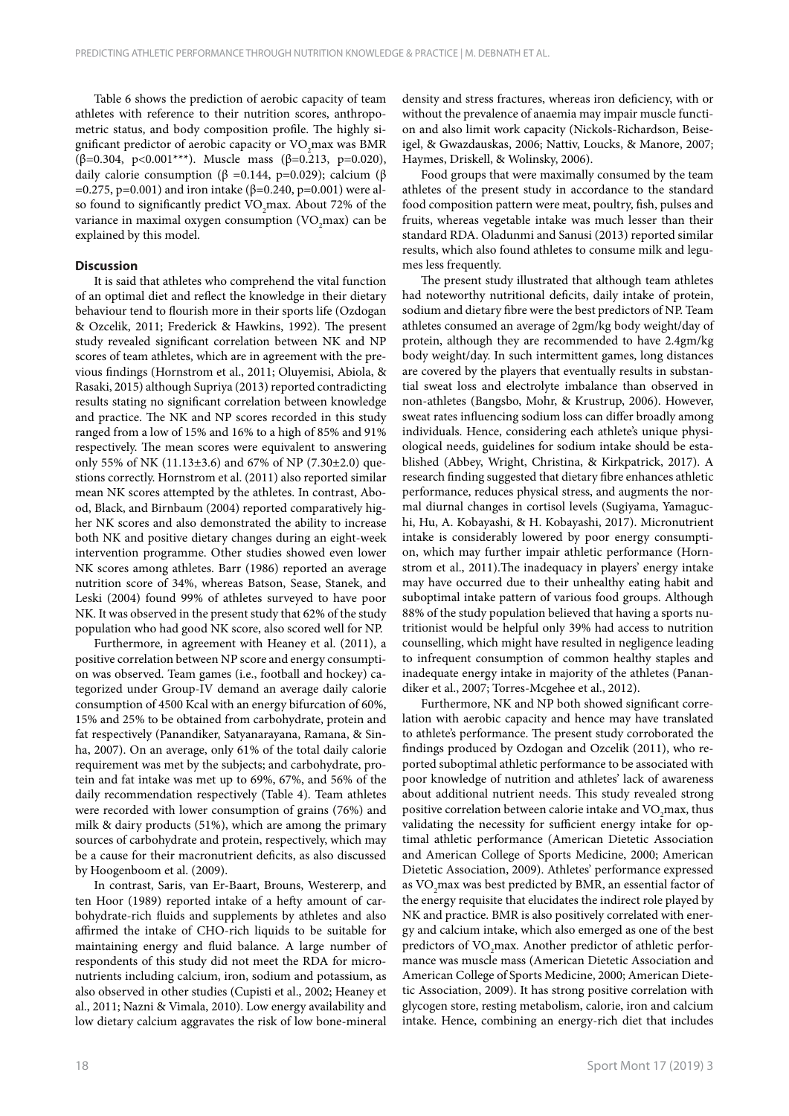Table 6 shows the prediction of aerobic capacity of team athletes with reference to their nutrition scores, anthropometric status, and body composition profile. The highly significant predictor of aerobic capacity or VO<sub>2</sub>max was BMR (β=0.304, p<0.001\*\*\*). Muscle mass (β=0.213, p=0.020), daily calorie consumption (β =0.144, p=0.029); calcium (β  $=0.275$ , p=0.001) and iron intake (β=0.240, p=0.001) were also found to significantly predict VO<sub>2</sub>max. About 72% of the variance in maximal oxygen consumption (VO<sub>2</sub>max) can be explained by this model.

## **Discussion**

It is said that athletes who comprehend the vital function of an optimal diet and reflect the knowledge in their dietary behaviour tend to flourish more in their sports life (Ozdogan & Ozcelik, 2011; Frederick & Hawkins, 1992). The present study revealed significant correlation between NK and NP scores of team athletes, which are in agreement with the previous findings (Hornstrom et al., 2011; Oluyemisi, Abiola, & Rasaki, 2015) although Supriya (2013) reported contradicting results stating no significant correlation between knowledge and practice. The NK and NP scores recorded in this study ranged from a low of 15% and 16% to a high of 85% and 91% respectively. The mean scores were equivalent to answering only 55% of NK (11.13±3.6) and 67% of NP (7.30±2.0) questions correctly. Hornstrom et al. (2011) also reported similar mean NK scores attempted by the athletes. In contrast, Abood, Black, and Birnbaum (2004) reported comparatively higher NK scores and also demonstrated the ability to increase both NK and positive dietary changes during an eight-week intervention programme. Other studies showed even lower NK scores among athletes. Barr (1986) reported an average nutrition score of 34%, whereas Batson, Sease, Stanek, and Leski (2004) found 99% of athletes surveyed to have poor NK. It was observed in the present study that 62% of the study population who had good NK score, also scored well for NP.

Furthermore, in agreement with Heaney et al. (2011), a positive correlation between NP score and energy consumption was observed. Team games (i.e., football and hockey) categorized under Group-IV demand an average daily calorie consumption of 4500 Kcal with an energy bifurcation of 60%, 15% and 25% to be obtained from carbohydrate, protein and fat respectively (Panandiker, Satyanarayana, Ramana, & Sinha, 2007). On an average, only 61% of the total daily calorie requirement was met by the subjects; and carbohydrate, protein and fat intake was met up to 69%, 67%, and 56% of the daily recommendation respectively (Table 4). Team athletes were recorded with lower consumption of grains (76%) and milk & dairy products (51%), which are among the primary sources of carbohydrate and protein, respectively, which may be a cause for their macronutrient deficits, as also discussed by Hoogenboom et al. (2009).

In contrast, Saris, van Er-Baart, Brouns, Westererp, and ten Hoor (1989) reported intake of a hefty amount of carbohydrate-rich fluids and supplements by athletes and also affirmed the intake of CHO-rich liquids to be suitable for maintaining energy and fluid balance. A large number of respondents of this study did not meet the RDA for micronutrients including calcium, iron, sodium and potassium, as also observed in other studies (Cupisti et al., 2002; Heaney et al., 2011; Nazni & Vimala, 2010). Low energy availability and low dietary calcium aggravates the risk of low bone-mineral

density and stress fractures, whereas iron deficiency, with or without the prevalence of anaemia may impair muscle function and also limit work capacity (Nickols-Richardson, Beiseigel, & Gwazdauskas, 2006; Nattiv, Loucks, & Manore, 2007; Haymes, Driskell, & Wolinsky, 2006).

Food groups that were maximally consumed by the team athletes of the present study in accordance to the standard food composition pattern were meat, poultry, fish, pulses and fruits, whereas vegetable intake was much lesser than their standard RDA. Oladunmi and Sanusi (2013) reported similar results, which also found athletes to consume milk and legumes less frequently.

The present study illustrated that although team athletes had noteworthy nutritional deficits, daily intake of protein, sodium and dietary fibre were the best predictors of NP. Team athletes consumed an average of 2gm/kg body weight/day of protein, although they are recommended to have 2.4gm/kg body weight/day. In such intermittent games, long distances are covered by the players that eventually results in substantial sweat loss and electrolyte imbalance than observed in non-athletes (Bangsbo, Mohr, & Krustrup, 2006). However, sweat rates influencing sodium loss can differ broadly among individuals. Hence, considering each athlete's unique physiological needs, guidelines for sodium intake should be established (Abbey, Wright, Christina, & Kirkpatrick, 2017). A research finding suggested that dietary fibre enhances athletic performance, reduces physical stress, and augments the normal diurnal changes in cortisol levels (Sugiyama, Yamaguchi, Hu, A. Kobayashi, & H. Kobayashi, 2017). Micronutrient intake is considerably lowered by poor energy consumption, which may further impair athletic performance (Hornstrom et al., 2011).The inadequacy in players' energy intake may have occurred due to their unhealthy eating habit and suboptimal intake pattern of various food groups. Although 88% of the study population believed that having a sports nutritionist would be helpful only 39% had access to nutrition counselling, which might have resulted in negligence leading to infrequent consumption of common healthy staples and inadequate energy intake in majority of the athletes (Panandiker et al., 2007; Torres-Mcgehee et al., 2012).

Furthermore, NK and NP both showed significant correlation with aerobic capacity and hence may have translated to athlete's performance. The present study corroborated the findings produced by Ozdogan and Ozcelik (2011), who reported suboptimal athletic performance to be associated with poor knowledge of nutrition and athletes' lack of awareness about additional nutrient needs. This study revealed strong positive correlation between calorie intake and VO<sub>2</sub>max, thus validating the necessity for sufficient energy intake for optimal athletic performance (American Dietetic Association and American College of Sports Medicine, 2000; American Dietetic Association, 2009). Athletes' performance expressed as VO<sub>2</sub>max was best predicted by BMR, an essential factor of the energy requisite that elucidates the indirect role played by NK and practice. BMR is also positively correlated with energy and calcium intake, which also emerged as one of the best predictors of VO<sub>2</sub>max. Another predictor of athletic performance was muscle mass (American Dietetic Association and American College of Sports Medicine, 2000; American Dietetic Association, 2009). It has strong positive correlation with glycogen store, resting metabolism, calorie, iron and calcium intake. Hence, combining an energy-rich diet that includes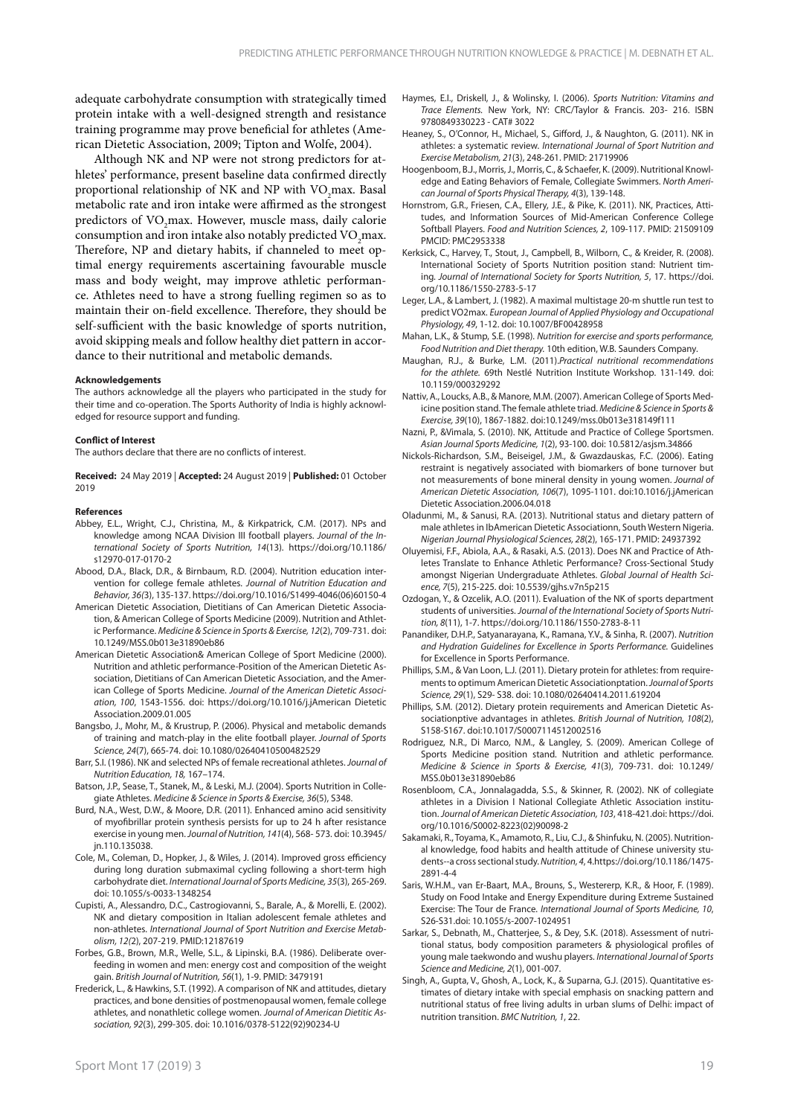adequate carbohydrate consumption with strategically timed protein intake with a well-designed strength and resistance training programme may prove beneficial for athletes (American Dietetic Association, 2009; Tipton and Wolfe, 2004).

Although NK and NP were not strong predictors for athletes' performance, present baseline data confirmed directly proportional relationship of NK and NP with VO<sub>2</sub>max. Basal metabolic rate and iron intake were affirmed as the strongest predictors of VO<sub>2</sub>max. However, muscle mass, daily calorie consumption and iron intake also notably predicted VO<sub>2</sub>max. Therefore, NP and dietary habits, if channeled to meet optimal energy requirements ascertaining favourable muscle mass and body weight, may improve athletic performance. Athletes need to have a strong fuelling regimen so as to maintain their on-field excellence. Therefore, they should be self-sufficient with the basic knowledge of sports nutrition, avoid skipping meals and follow healthy diet pattern in accordance to their nutritional and metabolic demands.

#### **Acknowledgements**

The authors acknowledge all the players who participated in the study for their time and co-operation. The Sports Authority of India is highly acknowledged for resource support and funding.

#### **Conflict of Interest**

The authors declare that there are no conflicts of interest.

**Received:** 24 May 2019 | **Accepted:** 24 August 2019 | **Published:** 01 October 2019

#### **References**

- Abbey, E.L., Wright, C.J., Christina, M., & Kirkpatrick, C.M. (2017). NPs and knowledge among NCAA Division III football players. *Journal of the International Society of Sports Nutrition, 14*(13). https://doi.org/10.1186/ s12970-017-0170-2
- Abood, D.A., Black, D.R., & Birnbaum, R.D. (2004). Nutrition education intervention for college female athletes. *Journal of Nutrition Education and Behavior, 36(*3), 135-137. https://doi.org/10.1016/S1499-4046(06)60150-4
- American Dietetic Association, Dietitians of Can American Dietetic Association, & American College of Sports Medicine (2009). Nutrition and Athletic Performance. *Medicine & Science in Sports & Exercise, 12*(2), 709-731. doi: 10.1249/MSS.0b013e31890eb86
- American Dietetic Association& American College of Sport Medicine (2000). Nutrition and athletic performance-Position of the American Dietetic Association, Dietitians of Can American Dietetic Association, and the American College of Sports Medicine. *Journal of the American Dietetic Association, 100*, 1543-1556. doi: https://doi.org/10.1016/j.jAmerican Dietetic Association.2009.01.005
- Bangsbo, J., Mohr, M., & Krustrup, P. (2006). Physical and metabolic demands of training and match-play in the elite football player. *Journal of Sports Science, 24*(7), 665-74. doi: 10.1080/02640410500482529
- Barr, S.I. (1986). NK and selected NPs of female recreational athletes. *Journal of Nutrition Education, 18,* 167–174.
- Batson, J.P., Sease, T., Stanek, M., & Leski, M.J. (2004). Sports Nutrition in Collegiate Athletes. *Medicine & Science in Sports & Exercise, 36*(5), S348.
- Burd, N.A., West, D.W., & Moore, D.R. (2011). Enhanced amino acid sensitivity of myofibrillar protein synthesis persists for up to 24 h after resistance exercise in young men. *Journal of Nutrition, 141*(4), 568- 573. doi: 10.3945/ jn.110.135038.
- Cole, M., Coleman, D., Hopker, J., & Wiles, J. (2014). Improved gross efficiency during long duration submaximal cycling following a short-term high carbohydrate diet. *International Journal of Sports Medicine, 35*(3), 265-269. doi: 10.1055/s-0033-1348254
- Cupisti, A., Alessandro, D.C., Castrogiovanni, S., Barale, A., & Morelli, E. (2002). NK and dietary composition in Italian adolescent female athletes and non-athletes. *International Journal of Sport Nutrition and Exercise Metabolism, 12(*2), 207-219. PMID:12187619
- Forbes, G.B., Brown, M.R., Welle, S.L., & Lipinski, B.A. (1986). Deliberate overfeeding in women and men: energy cost and composition of the weight gain. *British Journal of Nutrition, 56*(1), 1-9. PMID: 3479191
- Frederick, L., & Hawkins, S.T. (1992). A comparison of NK and attitudes, dietary practices, and bone densities of postmenopausal women, female college athletes, and nonathletic college women. *Journal of American Dietitic Association, 92*(3), 299-305. doi: 10.1016/0378-5122(92)90234-U
- Haymes, E.I., Driskell, J., & Wolinsky, I. (2006). *Sports Nutrition: Vitamins and Trace Elements.* New York, NY: CRC/Taylor & Francis. 203- 216. ISBN 9780849330223 - CAT# 3022
- Heaney, S., O'Connor, H., Michael, S., Gifford, J., & Naughton, G. (2011). NK in athletes: a systematic review. *International Journal of Sport Nutrition and Exercise Metabolism, 21*(3), 248-261. PMID: 21719906
- Hoogenboom, B.J., Morris, J., Morris, C., & Schaefer, K. (2009). Nutritional Knowledge and Eating Behaviors of Female, Collegiate Swimmers. *North American Journal of Sports Physical Therapy, 4*(3), 139-148.
- Hornstrom, G.R., Friesen, C.A., Ellery, J.E., & Pike, K. (2011). NK, Practices, Attitudes, and Information Sources of Mid-American Conference College Softball Players. *Food and Nutrition Sciences, 2*, 109-117. PMID: 21509109 PMCID: PMC2953338
- Kerksick, C., Harvey, T., Stout, J., Campbell, B., Wilborn, C., & Kreider, R. (2008). International Society of Sports Nutrition position stand: Nutrient timing*. Journal of International Society for Sports Nutrition, 5*, 17. https://doi. org/10.1186/1550-2783-5-17
- Leger, L.A., & Lambert, J. (1982). A maximal multistage 20-m shuttle run test to predict VO2max. *European Journal of Applied Physiology and Occupational Physiology, 49*, 1-12. doi: 10.1007/BF00428958
- Mahan, L.K., & Stump, S.E. (1998). *Nutrition for exercise and sports performance, Food Nutrition and Diet therapy.* 10th edition, W.B. Saunders Company.
- Maughan, R.J., & Burke, L.M. (2011).*Practical nutritional recommendations for the athlete.* 69th Nestlé Nutrition Institute Workshop. 131-149. doi: 10.1159/000329292
- Nattiv, A., Loucks, A.B., & Manore, M.M. (2007). American College of Sports Medicine position stand. The female athlete triad. *Medicine & Science in Sports & Exercise, 39*(10), 1867-1882. doi:10.1249/mss.0b013e318149f111
- Nazni, P., &Vimala, S. (2010). NK, Attitude and Practice of College Sportsmen. *Asian Journal Sports Medicine, 1*(2), 93-100. doi: 10.5812/asjsm.34866
- Nickols-Richardson, S.M., Beiseigel, J.M., & Gwazdauskas, F.C. (2006). Eating restraint is negatively associated with biomarkers of bone turnover but not measurements of bone mineral density in young women. *Journal of American Dietetic Association, 106*(7), 1095-1101. doi:10.1016/j.jAmerican Dietetic Association.2006.04.018
- Oladunmi, M., & Sanusi, R.A. (2013). Nutritional status and dietary pattern of male athletes in IbAmerican Dietetic Associationn, South Western Nigeria. *Nigerian Journal Physiological Sciences, 28*(2), 165-171. PMID: 24937392
- Oluyemisi, F.F., Abiola, A.A., & Rasaki, A.S. (2013). Does NK and Practice of Athletes Translate to Enhance Athletic Performance? Cross-Sectional Study amongst Nigerian Undergraduate Athletes. *Global Journal of Health Science, 7*(5), 215-225. doi: 10.5539/gjhs.v7n5p215
- Ozdogan, Y., & Ozcelik, A.O. (2011). Evaluation of the NK of sports department students of universities. *Journal of the International Society of Sports Nutrition, 8*(11), 1-7. https://doi.org/10.1186/1550-2783-8-11
- Panandiker, D.H.P., Satyanarayana, K., Ramana, Y.V., & Sinha, R. (2007). *Nutrition and Hydration Guidelines for Excellence in Sports Performance.* Guidelines for Excellence in Sports Performance.
- Phillips, S.M., & Van Loon, L.J. (2011). Dietary protein for athletes: from requirements to optimum American Dietetic Associationptation. *Journal of Sports Science, 29*(1), S29- S38. doi: 10.1080/02640414.2011.619204
- Phillips, S.M. (2012). Dietary protein requirements and American Dietetic Associationptive advantages in athletes. *British Journal of Nutrition, 108*(2), S158-S167. doi:10.1017/S0007114512002516
- Rodriguez, N.R., Di Marco, N.M., & Langley, S. (2009). American College of Sports Medicine position stand. Nutrition and athletic performance*. Medicine & Science in Sports & Exercise, 41*(3), 709-731. doi: 10.1249/ MSS.0b013e31890eb86
- Rosenbloom, C.A., Jonnalagadda, S.S., & Skinner, R. (2002). NK of collegiate athletes in a Division I National Collegiate Athletic Association institution. *Journal of American Dietetic Association, 103*, 418-421.doi: https://doi. org/10.1016/S0002-8223(02)90098-2
- Sakamaki, R., Toyama, K., Amamoto, R., Liu, C.J., & Shinfuku, N. (2005). Nutritional knowledge, food habits and health attitude of Chinese university students--a cross sectional study. *Nutrition, 4*, 4.https://doi.org/10.1186/1475- 2891-4-4
- Saris, W.H.M., van Er-Baart, M.A., Brouns, S., Westererp, K.R., & Hoor, F. (1989). Study on Food Intake and Energy Expenditure during Extreme Sustained Exercise: The Tour de France. *International Journal of Sports Medicine, 10*, S26-S31.doi: 10.1055/s-2007-1024951
- Sarkar, S., Debnath, M., Chatterjee, S., & Dey, S.K. (2018). Assessment of nutritional status, body composition parameters & physiological profiles of young male taekwondo and wushu players. *International Journal of Sports Science and Medicine, 2*(1), 001-007.
- Singh, A., Gupta, V., Ghosh, A., Lock, K., & Suparna, G.J. (2015). Quantitative estimates of dietary intake with special emphasis on snacking pattern and nutritional status of free living adults in urban slums of Delhi: impact of nutrition transition. *BMC Nutrition, 1*, 22.